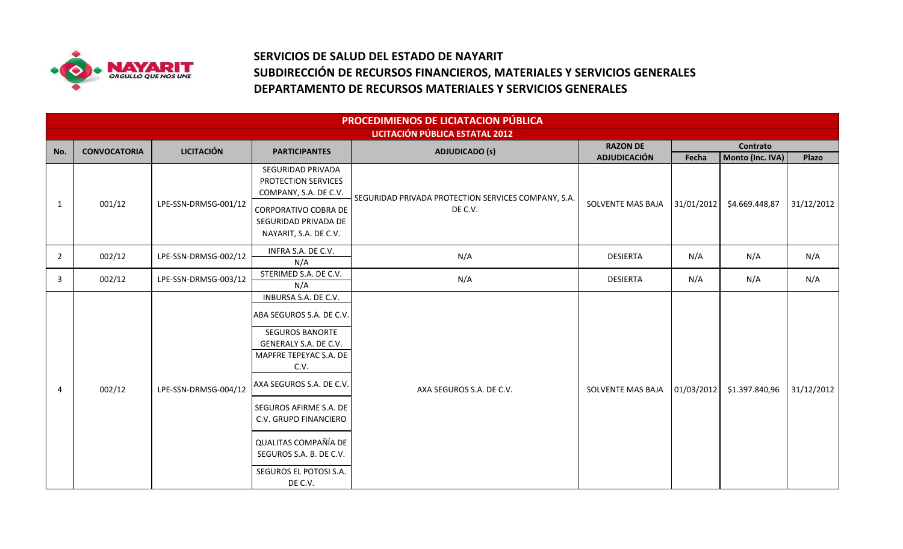

## **SERVICIOS DE SALUD DEL ESTADO DE NAYARIT SUBDIRECCIÓN DE RECURSOS FINANCIEROS, MATERIALES Y SERVICIOS GENERALES DEPARTAMENTO DE RECURSOS MATERIALES Y SERVICIOS GENERALES**

|                | PROCEDIMIENOS DE LICIATACION PÚBLICA<br>LICITACIÓN PÚBLICA ESTATAL 2012 |                      |                                                                                                                                                                                                                                                                                                       |                                                     |                     |            |                  |            |  |  |
|----------------|-------------------------------------------------------------------------|----------------------|-------------------------------------------------------------------------------------------------------------------------------------------------------------------------------------------------------------------------------------------------------------------------------------------------------|-----------------------------------------------------|---------------------|------------|------------------|------------|--|--|
|                | <b>CONVOCATORIA</b>                                                     | <b>LICITACIÓN</b>    |                                                                                                                                                                                                                                                                                                       |                                                     | <b>RAZON DE</b>     |            | Contrato         |            |  |  |
| No.            |                                                                         |                      | <b>PARTICIPANTES</b>                                                                                                                                                                                                                                                                                  | <b>ADJUDICADO (s)</b>                               | <b>ADJUDICACIÓN</b> | Fecha      | Monto (Inc. IVA) | Plazo      |  |  |
|                | 001/12                                                                  | LPE-SSN-DRMSG-001/12 | SEGURIDAD PRIVADA<br>PROTECTION SERVICES<br>COMPANY, S.A. DE C.V.                                                                                                                                                                                                                                     | SEGURIDAD PRIVADA PROTECTION SERVICES COMPANY, S.A. |                     |            |                  |            |  |  |
| 1              |                                                                         |                      | CORPORATIVO COBRA DE<br>SEGURIDAD PRIVADA DE<br>NAYARIT, S.A. DE C.V.                                                                                                                                                                                                                                 | DE C.V.                                             | SOLVENTE MAS BAJA   | 31/01/2012 | \$4.669.448,87   | 31/12/2012 |  |  |
| $\overline{2}$ | 002/12                                                                  | LPE-SSN-DRMSG-002/12 | INFRA S.A. DE C.V.<br>N/A                                                                                                                                                                                                                                                                             | N/A                                                 | <b>DESIERTA</b>     | N/A        | N/A              | N/A        |  |  |
| 3              | 002/12                                                                  | LPE-SSN-DRMSG-003/12 | STERIMED S.A. DE C.V.<br>N/A                                                                                                                                                                                                                                                                          | N/A                                                 | <b>DESIERTA</b>     | N/A        | N/A              | N/A        |  |  |
| 4              | 002/12                                                                  | LPE-SSN-DRMSG-004/12 | INBURSA S.A. DE C.V.<br>ABA SEGUROS S.A. DE C.V.<br>SEGUROS BANORTE<br>GENERALY S.A. DE C.V.<br>MAPFRE TEPEYAC S.A. DE<br>C.V.<br>AXA SEGUROS S.A. DE C.V.<br>SEGUROS AFIRME S.A. DE<br>C.V. GRUPO FINANCIERO<br>QUALITAS COMPAÑÍA DE<br>SEGUROS S.A. B. DE C.V.<br>SEGUROS EL POTOSI S.A.<br>DE C.V. | AXA SEGUROS S.A. DE C.V.                            | SOLVENTE MAS BAJA   | 01/03/2012 | \$1.397.840,96   | 31/12/2012 |  |  |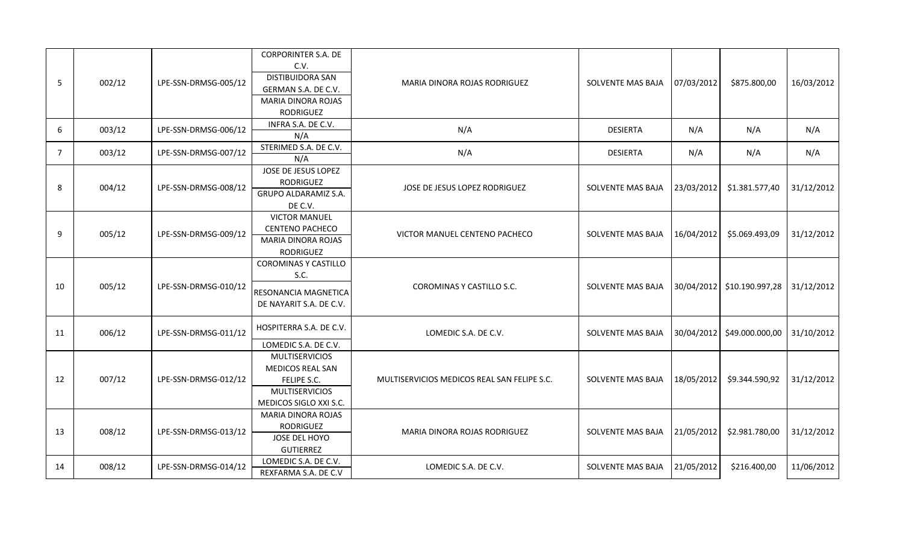| 5  | 002/12 | LPE-SSN-DRMSG-005/12 | <b>CORPORINTER S.A. DE</b><br>C.V.<br><b>DISTIBUIDORA SAN</b><br>GERMAN S.A. DE C.V.<br>MARIA DINORA ROJAS<br><b>RODRIGUEZ</b> | <b>MARIA DINORA ROJAS RODRIGUEZ</b>         | SOLVENTE MAS BAJA        | 07/03/2012 | \$875.800,00                 | 16/03/2012 |
|----|--------|----------------------|--------------------------------------------------------------------------------------------------------------------------------|---------------------------------------------|--------------------------|------------|------------------------------|------------|
| 6  | 003/12 | LPE-SSN-DRMSG-006/12 | INFRA S.A. DE C.V.<br>N/A                                                                                                      | N/A                                         | <b>DESIERTA</b>          | N/A        | N/A                          | N/A        |
| 7  | 003/12 | LPE-SSN-DRMSG-007/12 | STERIMED S.A. DE C.V.<br>N/A                                                                                                   | N/A                                         | <b>DESIERTA</b>          | N/A        | N/A                          | N/A        |
| 8  | 004/12 | LPE-SSN-DRMSG-008/12 | JOSE DE JESUS LOPEZ<br><b>RODRIGUEZ</b><br>GRUPO ALDARAMIZ S.A.<br>DE C.V.                                                     | JOSE DE JESUS LOPEZ RODRIGUEZ               | SOLVENTE MAS BAJA        | 23/03/2012 | \$1.381.577,40               | 31/12/2012 |
| 9  | 005/12 | LPE-SSN-DRMSG-009/12 | <b>VICTOR MANUEL</b><br><b>CENTENO PACHECO</b><br>MARIA DINORA ROJAS<br><b>RODRIGUEZ</b>                                       | VICTOR MANUEL CENTENO PACHECO               | SOLVENTE MAS BAJA        | 16/04/2012 | \$5.069.493,09               | 31/12/2012 |
| 10 | 005/12 | LPE-SSN-DRMSG-010/12 | <b>COROMINAS Y CASTILLO</b><br>S.C.<br>RESONANCIA MAGNETICA<br>DE NAYARIT S.A. DE C.V.                                         | COROMINAS Y CASTILLO S.C.                   | SOLVENTE MAS BAJA        |            | 30/04/2012   \$10.190.997,28 | 31/12/2012 |
| 11 | 006/12 | LPE-SSN-DRMSG-011/12 | HOSPITERRA S.A. DE C.V.<br>LOMEDIC S.A. DE C.V.                                                                                | LOMEDIC S.A. DE C.V.                        | <b>SOLVENTE MAS BAJA</b> | 30/04/2012 | \$49.000.000,00              | 31/10/2012 |
| 12 | 007/12 | LPE-SSN-DRMSG-012/12 | <b>MULTISERVICIOS</b><br>MEDICOS REAL SAN<br>FELIPE S.C.<br><b>MULTISERVICIOS</b><br>MEDICOS SIGLO XXI S.C.                    | MULTISERVICIOS MEDICOS REAL SAN FELIPE S.C. | SOLVENTE MAS BAJA        | 18/05/2012 | \$9.344.590,92               | 31/12/2012 |
| 13 | 008/12 | LPE-SSN-DRMSG-013/12 | MARIA DINORA ROJAS<br><b>RODRIGUEZ</b><br>JOSE DEL HOYO<br><b>GUTIERREZ</b>                                                    | MARIA DINORA ROJAS RODRIGUEZ                | SOLVENTE MAS BAJA        | 21/05/2012 | \$2.981.780,00               | 31/12/2012 |
| 14 | 008/12 | LPE-SSN-DRMSG-014/12 | LOMEDIC S.A. DE C.V.<br>REXFARMA S.A. DE C.V                                                                                   | LOMEDIC S.A. DE C.V.                        | SOLVENTE MAS BAJA        | 21/05/2012 | \$216.400,00                 | 11/06/2012 |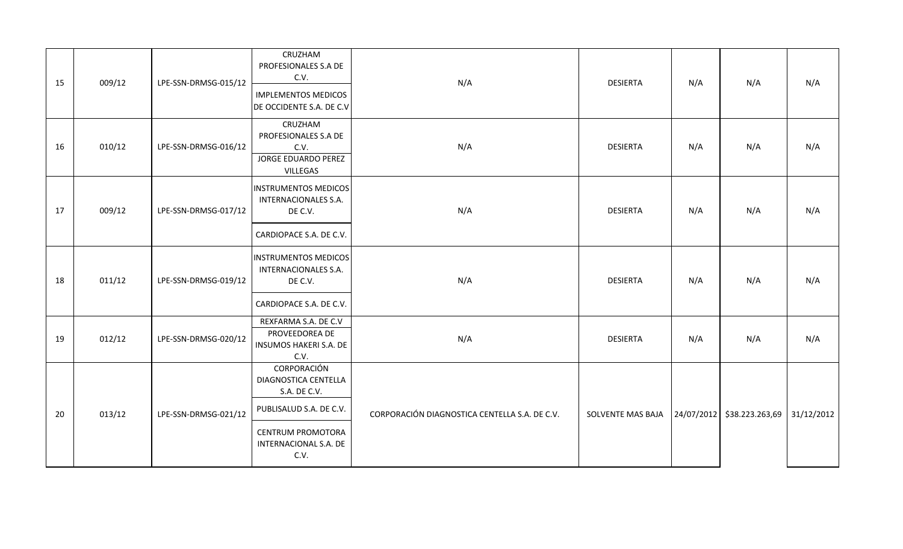| 15 | 009/12 | LPE-SSN-DRMSG-015/12 | CRUZHAM<br>PROFESIONALES S.A DE<br>C.V.<br><b>IMPLEMENTOS MEDICOS</b><br>DE OCCIDENTE S.A. DE C.V                                           | N/A                                           | <b>DESIERTA</b>   | N/A | N/A                        | N/A        |
|----|--------|----------------------|---------------------------------------------------------------------------------------------------------------------------------------------|-----------------------------------------------|-------------------|-----|----------------------------|------------|
| 16 | 010/12 | LPE-SSN-DRMSG-016/12 | CRUZHAM<br>PROFESIONALES S.A DE<br>C.V.<br><b>JORGE EDUARDO PEREZ</b><br>VILLEGAS                                                           | N/A                                           | <b>DESIERTA</b>   | N/A | N/A                        | N/A        |
| 17 | 009/12 | LPE-SSN-DRMSG-017/12 | <b>INSTRUMENTOS MEDICOS</b><br><b>INTERNACIONALES S.A.</b><br>DE C.V.<br>CARDIOPACE S.A. DE C.V.                                            | N/A                                           | <b>DESIERTA</b>   | N/A | N/A                        | N/A        |
| 18 | 011/12 | LPE-SSN-DRMSG-019/12 | <b>INSTRUMENTOS MEDICOS</b><br><b>INTERNACIONALES S.A.</b><br>DE C.V.<br>CARDIOPACE S.A. DE C.V.                                            | N/A                                           | <b>DESIERTA</b>   | N/A | N/A                        | N/A        |
| 19 | 012/12 | LPE-SSN-DRMSG-020/12 | REXFARMA S.A. DE C.V<br>PROVEEDOREA DE<br>INSUMOS HAKERI S.A. DE<br>C.V.                                                                    | N/A                                           | <b>DESIERTA</b>   | N/A | N/A                        | N/A        |
| 20 | 013/12 | LPE-SSN-DRMSG-021/12 | CORPORACIÓN<br>DIAGNOSTICA CENTELLA<br>S.A. DE C.V.<br>PUBLISALUD S.A. DE C.V.<br><b>CENTRUM PROMOTORA</b><br>INTERNACIONAL S.A. DE<br>C.V. | CORPORACIÓN DIAGNOSTICA CENTELLA S.A. DE C.V. | SOLVENTE MAS BAJA |     | 24/07/2012 \$38.223.263,69 | 31/12/2012 |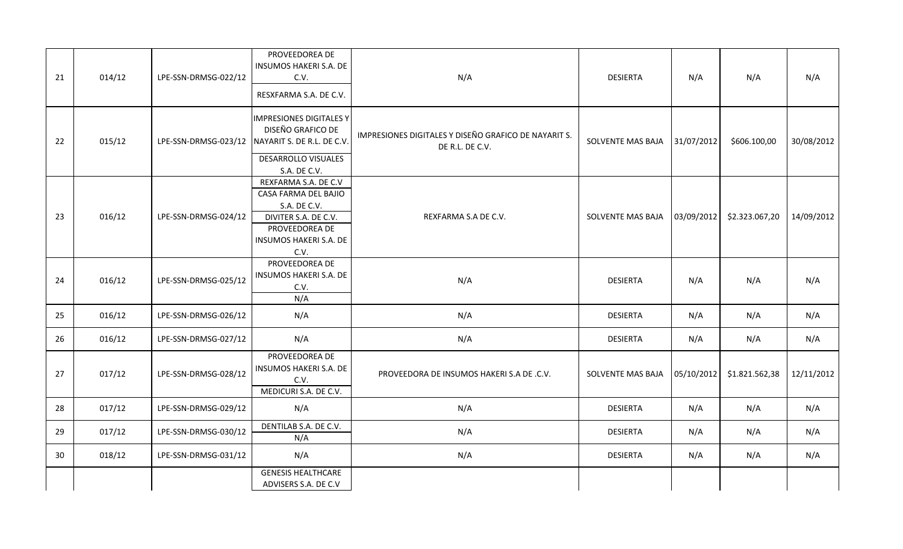| 21 | 014/12 | LPE-SSN-DRMSG-022/12 | PROVEEDOREA DE<br><b>INSUMOS HAKERI S.A. DE</b><br>C.V.<br>RESXFARMA S.A. DE C.V.                                                        | N/A                                                                     | <b>DESIERTA</b>   | N/A        | N/A            | N/A        |
|----|--------|----------------------|------------------------------------------------------------------------------------------------------------------------------------------|-------------------------------------------------------------------------|-------------------|------------|----------------|------------|
| 22 | 015/12 | LPE-SSN-DRMSG-023/12 | <b>IMPRESIONES DIGITALES Y</b><br>DISEÑO GRAFICO DE<br>NAYARIT S. DE R.L. DE C.V.<br><b>DESARROLLO VISUALES</b><br>S.A. DE C.V.          | IMPRESIONES DIGITALES Y DISEÑO GRAFICO DE NAYARIT S.<br>DE R.L. DE C.V. | SOLVENTE MAS BAJA | 31/07/2012 | \$606.100,00   | 30/08/2012 |
| 23 | 016/12 | LPE-SSN-DRMSG-024/12 | REXFARMA S.A. DE C.V<br>CASA FARMA DEL BAJIO<br>S.A. DE C.V.<br>DIVITER S.A. DE C.V.<br>PROVEEDOREA DE<br>INSUMOS HAKERI S.A. DE<br>C.V. | REXFARMA S.A DE C.V.                                                    | SOLVENTE MAS BAJA | 03/09/2012 | \$2.323.067,20 | 14/09/2012 |
| 24 | 016/12 | LPE-SSN-DRMSG-025/12 | PROVEEDOREA DE<br>INSUMOS HAKERI S.A. DE<br>C.V.<br>N/A                                                                                  | N/A                                                                     | <b>DESIERTA</b>   | N/A        | N/A            | N/A        |
| 25 | 016/12 | LPE-SSN-DRMSG-026/12 | N/A                                                                                                                                      | N/A                                                                     | <b>DESIERTA</b>   | N/A        | N/A            | N/A        |
| 26 | 016/12 | LPE-SSN-DRMSG-027/12 | N/A                                                                                                                                      | N/A                                                                     | <b>DESIERTA</b>   | N/A        | N/A            | N/A        |
| 27 | 017/12 | LPE-SSN-DRMSG-028/12 | PROVEEDOREA DE<br>INSUMOS HAKERI S.A. DE<br>C.V.<br>MEDICURI S.A. DE C.V.                                                                | PROVEEDORA DE INSUMOS HAKERI S.A DE .C.V.                               | SOLVENTE MAS BAJA | 05/10/2012 | \$1.821.562,38 | 12/11/2012 |
| 28 | 017/12 | LPE-SSN-DRMSG-029/12 | N/A                                                                                                                                      | N/A                                                                     | <b>DESIERTA</b>   | N/A        | N/A            | N/A        |
| 29 | 017/12 | LPE-SSN-DRMSG-030/12 | DENTILAB S.A. DE C.V.<br>N/A                                                                                                             | N/A                                                                     | <b>DESIERTA</b>   | N/A        | N/A            | N/A        |
| 30 | 018/12 | LPE-SSN-DRMSG-031/12 | N/A                                                                                                                                      | N/A                                                                     | <b>DESIERTA</b>   | N/A        | N/A            | N/A        |
|    |        |                      | <b>GENESIS HEALTHCARE</b><br>ADVISERS S.A. DE C.V                                                                                        |                                                                         |                   |            |                |            |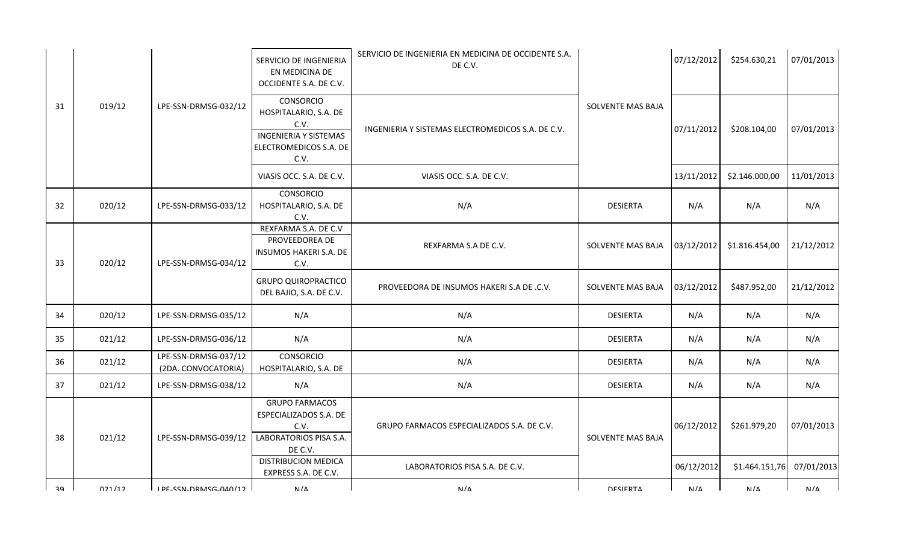|    |        |                                             | SERVICIO DE INGENIERIA<br>EN MEDICINA DE<br>OCCIDENTE S.A. DE C.V.                                                  | SERVICIO DE INGENIERIA EN MEDICINA DE OCCIDENTE S.A.<br>DE C.V. |                   | 07/12/2012 | \$254.630,21   | 07/01/2013 |
|----|--------|---------------------------------------------|---------------------------------------------------------------------------------------------------------------------|-----------------------------------------------------------------|-------------------|------------|----------------|------------|
| 31 | 019/12 | LPE-SSN-DRMSG-032/12                        | <b>CONSORCIO</b><br>HOSPITALARIO, S.A. DE<br>C.V.<br><b>INGENIERIA Y SISTEMAS</b><br>ELECTROMEDICOS S.A. DE<br>C.V. | INGENIERIA Y SISTEMAS ELECTROMEDICOS S.A. DE C.V.               | SOLVENTE MAS BAJA | 07/11/2012 | \$208.104,00   | 07/01/2013 |
|    |        |                                             | VIASIS OCC. S.A. DE C.V.                                                                                            | VIASIS OCC. S.A. DE C.V.                                        |                   | 13/11/2012 | \$2.146.000,00 | 11/01/2013 |
| 32 | 020/12 | LPE-SSN-DRMSG-033/12                        | <b>CONSORCIO</b><br>HOSPITALARIO, S.A. DE<br>C.V.                                                                   | N/A                                                             | <b>DESIERTA</b>   | N/A        | N/A            | N/A        |
| 33 | 020/12 | LPE-SSN-DRMSG-034/12                        | REXFARMA S.A. DE C.V<br>PROVEEDOREA DE<br>INSUMOS HAKERI S.A. DE<br>C.V.                                            | REXFARMA S.A DE C.V.                                            | SOLVENTE MAS BAJA | 03/12/2012 | \$1.816.454,00 | 21/12/2012 |
|    |        |                                             | <b>GRUPO QUIROPRACTICO</b><br>DEL BAJIO, S.A. DE C.V.                                                               | PROVEEDORA DE INSUMOS HAKERI S.A DE .C.V.                       | SOLVENTE MAS BAJA | 03/12/2012 | \$487.952,00   | 21/12/2012 |
| 34 | 020/12 | LPE-SSN-DRMSG-035/12                        | N/A                                                                                                                 | N/A                                                             | <b>DESIERTA</b>   | N/A        | N/A            | N/A        |
| 35 | 021/12 | LPE-SSN-DRMSG-036/12                        | N/A                                                                                                                 | N/A                                                             | <b>DESIERTA</b>   | N/A        | N/A            | N/A        |
| 36 | 021/12 | LPE-SSN-DRMSG-037/12<br>(2DA. CONVOCATORIA) | <b>CONSORCIO</b><br>HOSPITALARIO, S.A. DE                                                                           | N/A                                                             | <b>DESIERTA</b>   | N/A        | N/A            | N/A        |
| 37 | 021/12 | LPE-SSN-DRMSG-038/12                        | N/A                                                                                                                 | N/A                                                             | <b>DESIERTA</b>   | N/A        | N/A            | N/A        |
| 38 | 021/12 | LPE-SSN-DRMSG-039/12                        | <b>GRUPO FARMACOS</b><br>ESPECIALIZADOS S.A. DE<br>C.V.<br>LABORATORIOS PISA S.A.<br>DE C.V.                        | GRUPO FARMACOS ESPECIALIZADOS S.A. DE C.V.                      | SOLVENTE MAS BAJA | 06/12/2012 | \$261.979,20   | 07/01/2013 |
|    |        |                                             | <b>DISTRIBUCION MEDICA</b><br>EXPRESS S.A. DE C.V.                                                                  | LABORATORIOS PISA S.A. DE C.V.                                  |                   | 06/12/2012 | \$1.464.151,76 | 07/01/2013 |
| 20 | 021/12 | IDE_CCNL_NDMACG_NAN/12                      | N/L                                                                                                                 | N / A                                                           | <b>DECIEDTA</b>   | NI/A       | N/L            | NI/A       |